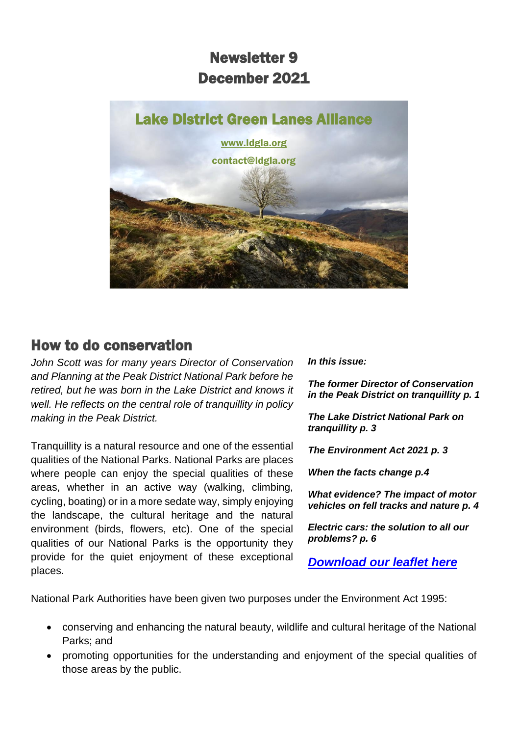# Newsletter 9 December 2021



## How to do conservation

*John Scott was for many years Director of Conservation and Planning at the Peak District National Park before he retired, but he was born in the Lake District and knows it well. He reflects on the central role of tranquillity in policy making in the Peak District.*

Tranquillity is a natural resource and one of the essential qualities of the National Parks. National Parks are places where people can enjoy the special qualities of these areas, whether in an active way (walking, climbing, cycling, boating) or in a more sedate way, simply enjoying the landscape, the cultural heritage and the natural environment (birds, flowers, etc). One of the special qualities of our National Parks is the opportunity they provide for the quiet enjoyment of these exceptional places.

*In this issue:*

*The former Director of Conservation in the Peak District on tranquillity p. 1*

*The Lake District National Park on tranquillity p. 3*

*The Environment Act 2021 p. 3*

*When the facts change p.4*

*What evidence? The impact of motor vehicles on fell tracks and nature p. 4*

*Electric cars: the solution to all our problems? p. 6*

*[Download our leaflet here](https://d93992ec-49a9-490d-8cd2-4c8f6682bde7.filesusr.com/ugd/269609_4dfa44ecc9c94858b47eb7b5075a5d50.pdf)*

National Park Authorities have been given two purposes under the Environment Act 1995:

- conserving and enhancing the natural beauty, wildlife and cultural heritage of the National Parks; and
- promoting opportunities for the understanding and enjoyment of the special qualities of those areas by the public.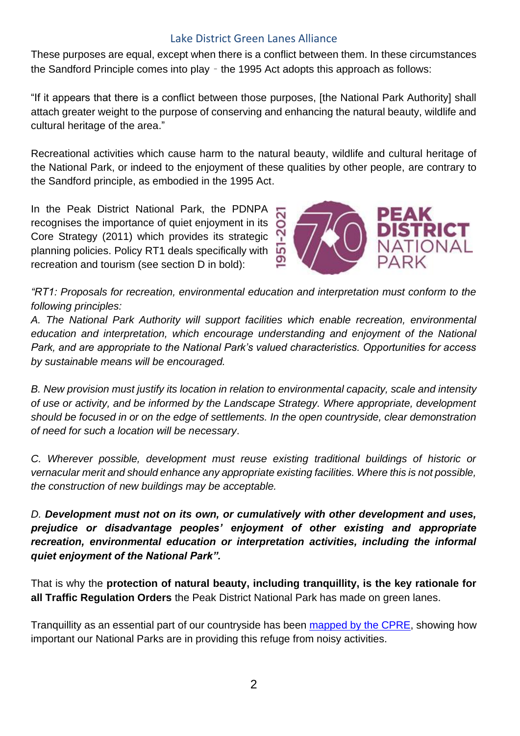#### Lake District Green Lanes Alliance

These purposes are equal, except when there is a conflict between them. In these circumstances the Sandford Principle comes into play – the 1995 Act adopts this approach as follows:

"If it appears that there is a conflict between those purposes, [the National Park Authority] shall attach greater weight to the purpose of conserving and enhancing the natural beauty, wildlife and cultural heritage of the area."

Recreational activities which cause harm to the natural beauty, wildlife and cultural heritage of the National Park, or indeed to the enjoyment of these qualities by other people, are contrary to the Sandford principle, as embodied in the 1995 Act.

In the Peak District National Park, the PDNPA recognises the importance of quiet enjoyment in its Core Strategy (2011) which provides its strategic planning policies. Policy RT1 deals specifically with recreation and tourism (see section D in bold):



*"RT1: Proposals for recreation, environmental education and interpretation must conform to the following principles:* 

*A. The National Park Authority will support facilities which enable recreation, environmental education and interpretation, which encourage understanding and enjoyment of the National Park, and are appropriate to the National Park's valued characteristics. Opportunities for access by sustainable means will be encouraged.* 

*B. New provision must justify its location in relation to environmental capacity, scale and intensity of use or activity, and be informed by the Landscape Strategy. Where appropriate, development should be focused in or on the edge of settlements. In the open countryside, clear demonstration of need for such a location will be necessary*.

*C. Wherever possible, development must reuse existing traditional buildings of historic or vernacular merit and should enhance any appropriate existing facilities. Where this is not possible, the construction of new buildings may be acceptable.* 

*D. Development must not on its own, or cumulatively with other development and uses, prejudice or disadvantage peoples' enjoyment of other existing and appropriate recreation, environmental education or interpretation activities, including the informal quiet enjoyment of the National Park".*

That is why the **protection of natural beauty, including tranquillity, is the key rationale for all Traffic Regulation Orders** the Peak District National Park has made on green lanes.

Tranquillity as an essential part of our countryside has been mapped [by the CPRE,](https://www.cpre.org.uk/resources/give-peace-a-chance/) showing how important our National Parks are in providing this refuge from noisy activities.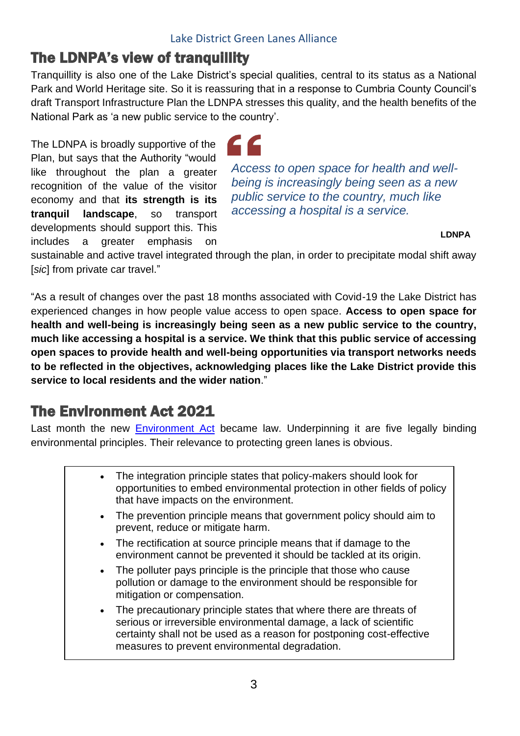# The LDNPA's view of tranquillity

Tranquillity is also one of the Lake District's special qualities, central to its status as a National Park and World Heritage site. So it is reassuring that in a response to Cumbria County Council's draft Transport Infrastructure Plan the LDNPA stresses this quality, and the health benefits of the National Park as 'a new public service to the country'.

The LDNPA is broadly supportive of the Plan, but says that the Authority "would like throughout the plan a greater recognition of the value of the visitor economy and that **its strength is its tranquil landscape**, so transport developments should support this. This includes a greater emphasis on

*Access to open space for health and wellbeing is increasingly being seen as a new public service to the country, much like accessing a hospital is a service.*

**LDNPA**

sustainable and active travel integrated through the plan, in order to precipitate modal shift away [*sic*] from private car travel."

"As a result of changes over the past 18 months associated with Covid-19 the Lake District has experienced changes in how people value access to open space. **Access to open space for health and well-being is increasingly being seen as a new public service to the country, much like accessing a hospital is a service. We think that this public service of accessing open spaces to provide health and well-being opportunities via transport networks needs to be reflected in the objectives, acknowledging places like the Lake District provide this service to local residents and the wider nation**."

# The Environment Act 2021

Last month the new [Environment Act](https://bills.parliament.uk/bills/2593) became law. Underpinning it are five legally binding environmental principles. Their relevance to protecting green lanes is obvious.

| • The integration principle states that policy-makers should look for     |
|---------------------------------------------------------------------------|
| opportunities to embed environmental protection in other fields of policy |
| that have impacts on the environment.                                     |
| The prevention principle means that government policy should aim to       |

- The prevention principle means that government policy should aim to prevent, reduce or mitigate harm.
- The rectification at source principle means that if damage to the environment cannot be prevented it should be tackled at its origin.
- The polluter pays principle is the principle that those who cause pollution or damage to the environment should be responsible for mitigation or compensation.
- The precautionary principle states that where there are threats of serious or irreversible environmental damage, a lack of scientific certainty shall not be used as a reason for postponing cost-effective measures to prevent environmental degradation.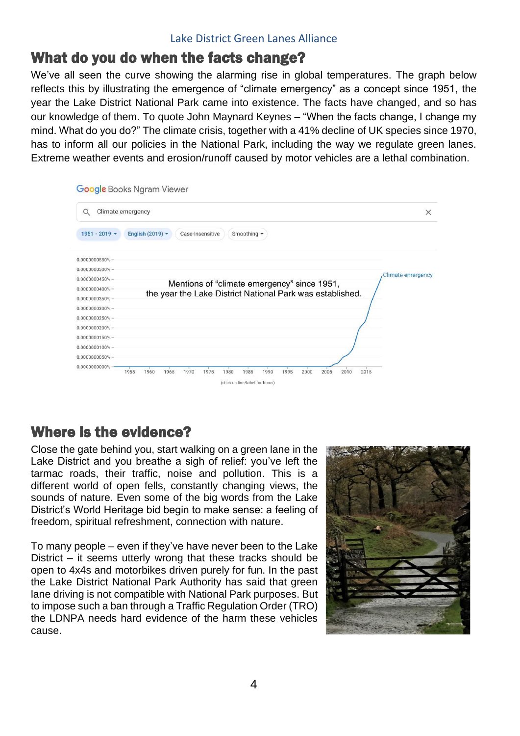## What do you do when the facts change?

We've all seen the curve showing the alarming rise in global temperatures. The graph below reflects this by illustrating the emergence of "climate emergency" as a concept since 1951, the year the Lake District National Park came into existence. The facts have changed, and so has our knowledge of them. To quote John Maynard Keynes – "When the facts change, I change my mind. What do you do?" The climate crisis, together with a 41% decline of UK species since 1970, has to inform all our policies in the National Park, including the way we regulate green lanes. Extreme weather events and erosion/runoff caused by motor vehicles are a lethal combination.

| Q                                       | Climate emergency<br>$\times$                                                |
|-----------------------------------------|------------------------------------------------------------------------------|
| $1951 - 2019$ $\star$                   | English (2019) $\star$<br>Case-Insensitive<br>Smoothing $\blacktriangledown$ |
| 0.0000000550%                           |                                                                              |
| $0.0000000500\%$ -                      |                                                                              |
| 0.0000000450%                           | <b>Climate emergency</b>                                                     |
|                                         |                                                                              |
| $0.0000000400\%$ -                      | Mentions of "climate emergency" since 1951,                                  |
| $0.0000000350\%$ -                      | the year the Lake District National Park was established.                    |
| $0.0000000300\%$ -                      |                                                                              |
| $0.0000000250% -$                       |                                                                              |
| $0.0000000200\%$ -                      |                                                                              |
|                                         |                                                                              |
| $0.0000000150% -$<br>$0.0000000100\%$ - |                                                                              |
| $0.0000000050\% -$                      |                                                                              |

# Where is the evidence?

Close the gate behind you, start walking on a green lane in the Lake District and you breathe a sigh of relief: you've left the tarmac roads, their traffic, noise and pollution. This is a different world of open fells, constantly changing views, the sounds of nature. Even some of the big words from the Lake District's World Heritage bid begin to make sense: a feeling of freedom, spiritual refreshment, connection with nature.

To many people – even if they've have never been to the Lake District – it seems utterly wrong that these tracks should be open to 4x4s and motorbikes driven purely for fun. In the past the Lake District National Park Authority has said that green lane driving is not compatible with National Park purposes. But to impose such a ban through a Traffic Regulation Order (TRO) the LDNPA needs hard evidence of the harm these vehicles cause.

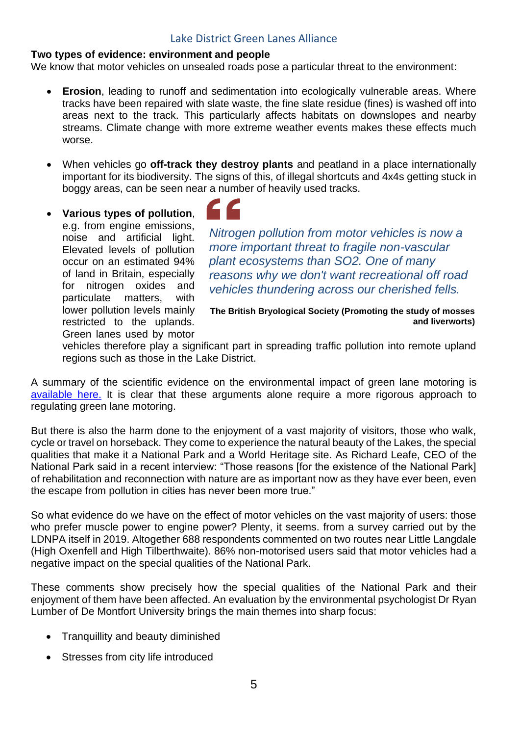#### Lake District Green Lanes Alliance

### **Two types of evidence: environment and people**

We know that motor vehicles on unsealed roads pose a particular threat to the environment:

- **Erosion**, leading to runoff and sedimentation into ecologically vulnerable areas. Where tracks have been repaired with slate waste, the fine slate residue (fines) is washed off into areas next to the track. This particularly affects habitats on downslopes and nearby streams. Climate change with more extreme weather events makes these effects much worse.
- When vehicles go **off-track they destroy plants** and peatland in a place internationally important for its biodiversity. The signs of this, of illegal shortcuts and 4x4s getting stuck in boggy areas, can be seen near a number of heavily used tracks.
- **Various types of pollution**, e.g. from engine emissions, noise and artificial light. Elevated levels of pollution occur on an estimated 94% of land in Britain, especially for nitrogen oxides and particulate matters, with lower pollution levels mainly restricted to the uplands. Green lanes used by motor



*Nitrogen pollution from motor vehicles is now a more important threat to fragile non-vascular plant ecosystems than SO2. One of many reasons why we don't want recreational off road vehicles thundering across our cherished fells.*

**The British Bryological Society (Promoting the study of mosses and liverworts)**

vehicles therefore play a significant part in spreading traffic pollution into remote upland regions such as those in the Lake District.

A summary of the scientific evidence on the environmental impact of green lane motoring is [available here.](https://www.savethelakedistrict.com/_files/ugd/269609_83b2ff3ed0424349bf58fb1d63d86c1c.pdf) It is clear that these arguments alone require a more rigorous approach to regulating green lane motoring.

But there is also the harm done to the enjoyment of a vast majority of visitors, those who walk, cycle or travel on horseback. They come to experience the natural beauty of the Lakes, the special qualities that make it a National Park and a World Heritage site. As Richard Leafe, CEO of the National Park said in a recent interview: "Those reasons [for the existence of the National Park] of rehabilitation and reconnection with nature are as important now as they have ever been, even the escape from pollution in cities has never been more true."

So what evidence do we have on the effect of motor vehicles on the vast majority of users: those who prefer muscle power to engine power? Plenty, it seems. from a survey carried out by the LDNPA itself in 2019. Altogether 688 respondents commented on two routes near Little Langdale (High Oxenfell and High Tilberthwaite). 86% non-motorised users said that motor vehicles had a negative impact on the special qualities of the National Park.

These comments show precisely how the special qualities of the National Park and their enjoyment of them have been affected. An evaluation by the environmental psychologist Dr Ryan Lumber of De Montfort University brings the main themes into sharp focus:

- Tranquillity and beauty diminished
- Stresses from city life introduced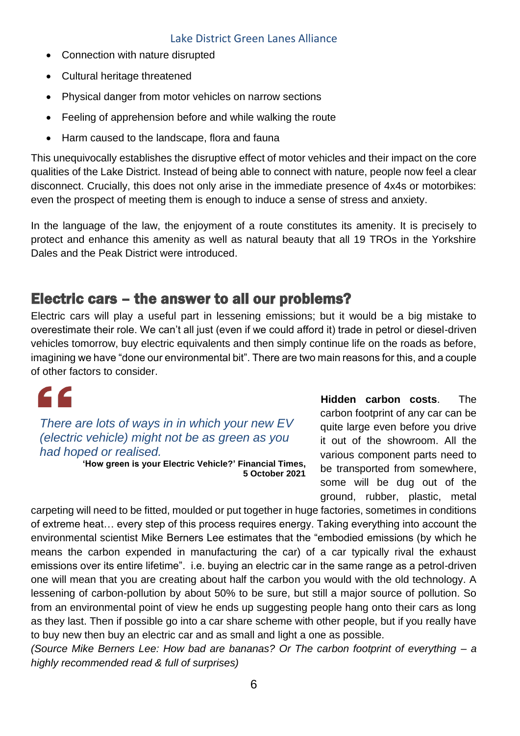- Connection with nature disrupted
- Cultural heritage threatened
- Physical danger from motor vehicles on narrow sections
- Feeling of apprehension before and while walking the route
- Harm caused to the landscape, flora and fauna

This unequivocally establishes the disruptive effect of motor vehicles and their impact on the core qualities of the Lake District. Instead of being able to connect with nature, people now feel a clear disconnect. Crucially, this does not only arise in the immediate presence of 4x4s or motorbikes: even the prospect of meeting them is enough to induce a sense of stress and anxiety.

In the language of the law, the enjoyment of a route constitutes its amenity. It is precisely to protect and enhance this amenity as well as natural beauty that all 19 TROs in the Yorkshire Dales and the Peak District were introduced.

## Electric cars – the answer to all our problems?

Electric cars will play a useful part in lessening emissions; but it would be a big mistake to overestimate their role. We can't all just (even if we could afford it) trade in petrol or diesel-driven vehicles tomorrow, buy electric equivalents and then simply continue life on the roads as before, imagining we have "done our environmental bit". There are two main reasons for this, and a couple of other factors to consider.

*There are lots of ways in in which your new EV (electric vehicle) might not be as green as you had hoped or realised.*

**'How green is your Electric Vehicle?' Financial Times, 5 October 2021** **Hidden carbon costs**. The carbon footprint of any car can be quite large even before you drive it out of the showroom. All the various component parts need to be transported from somewhere, some will be dug out of the ground, rubber, plastic, metal

carpeting will need to be fitted, moulded or put together in huge factories, sometimes in conditions of extreme heat… every step of this process requires energy. Taking everything into account the environmental scientist Mike Berners Lee estimates that the "embodied emissions (by which he means the carbon expended in manufacturing the car) of a car typically rival the exhaust emissions over its entire lifetime". i.e. buying an electric car in the same range as a petrol-driven one will mean that you are creating about half the carbon you would with the old technology. A lessening of carbon-pollution by about 50% to be sure, but still a major source of pollution. So from an environmental point of view he ends up suggesting people hang onto their cars as long as they last. Then if possible go into a car share scheme with other people, but if you really have to buy new then buy an electric car and as small and light a one as possible.

*(Source Mike Berners Lee: How bad are bananas? Or The carbon footprint of everything – a highly recommended read & full of surprises)*